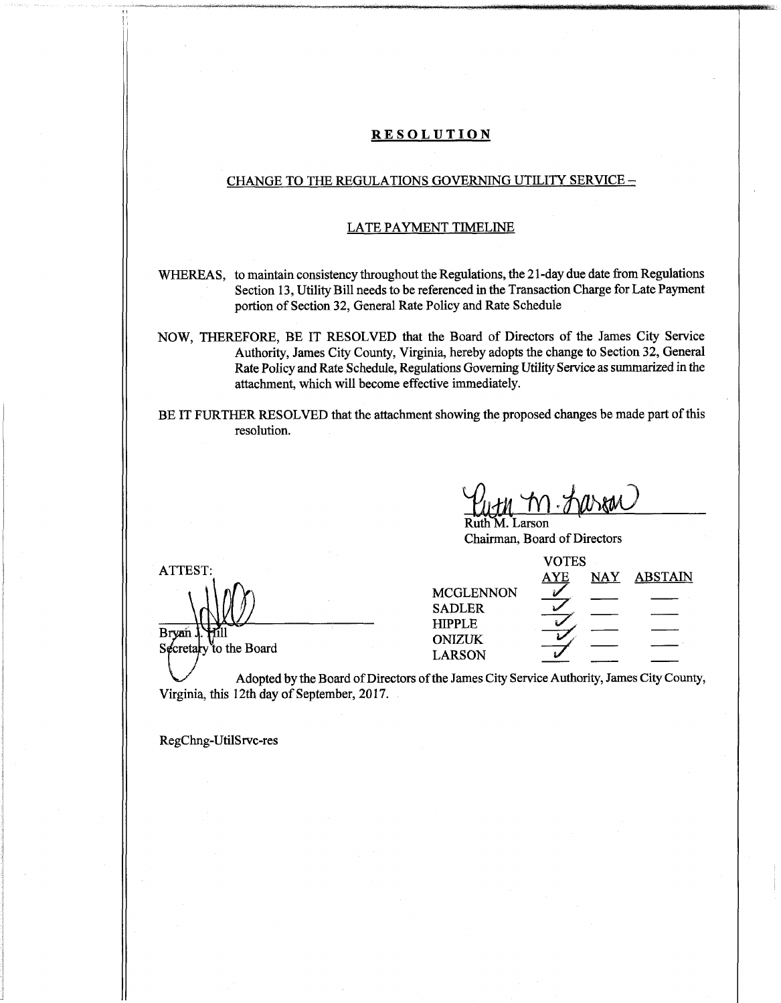#### **RESOLUTION**

### CHANGE TO THE REGULATIONS GOVERNING UTILITY SERVICE  $-$

#### LATE PAYMENT TIMELINE

WHEREAS, to maintain consistency throughout the Regulations, the 21-day due date from Regulations Section 13, Utility Bill needs to be referenced in the Transaction Charge for Late Payment portion of Section 32, General Rate Policy and Rate Schedule

NOW, THEREFORE, BE IT RESOLVED that the Board of Directors of the James City Service Authority, James City County, Virginia, hereby adopts the change to Section 32, General Rate Policy and Rate Schedule, Regulations GoverningUtility Service as summarized in the attachment, which will become effective immediately.

BE IT FURTHER RESOLVED that the attachment showing the proposed changes be made part of this resolution.

**An** *.jym)*

Larson Chairman, Board of Directors

|                                 | <b>VOTES</b>                      |            |            |                |
|---------------------------------|-----------------------------------|------------|------------|----------------|
| $\mathtt{ATTEST:}$              |                                   | <u>AYE</u> | <b>NAY</b> | <b>ABSTAIN</b> |
|                                 | <b>MCGLENNON</b><br><b>SADLER</b> |            |            |                |
| Bryan<br>Secretary to the Board | <b>HIPPLE</b><br><b>ONIZUK</b>    |            |            |                |
|                                 | <b>LARSON</b>                     |            |            |                |

Adopted by the Board of Directors of the James City Service Authority, James City County, Virginia, this 12th day of September, 2017.

RegChng-UtilSrvc-res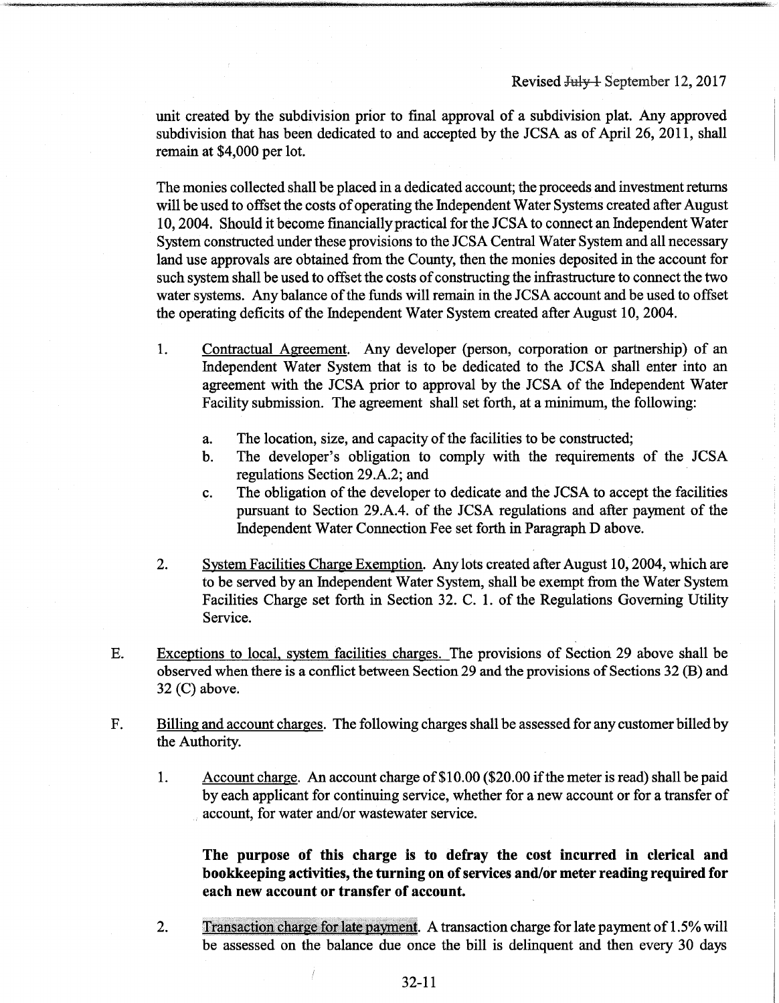unit created by the subdivision prior to final approval of a subdivision plat. Any approved subdivision that has been dedicated to and accepted by the JCSA as of April 26, 2011, shall remain at \$4,000 per lot.

The monies collected shall be placed in a dedicated account; the proceeds and investment returns will be used to offset the costs of operating the Independent Water Systems created after August 10,2004. Should it become financiallypractical forthe JCSA to connect an Independent Water System constructed under these provisions to the JCSA Central Water System and all necessary land use approvals are obtained from the County, then the monies deposited in the account for such system shall be used to offset the costs of constructing the infrastructure to connect the two water systems. Any balance of the funds will remain in the JCSA account and be used to offset the operating deficits of the Independent Water System created after August 10, 2004.

- Contractual Agreement. Any developer (person, corporation or partnership) of an Independent Water System that is to be dedicated to the JCSA shall enter into an agreement with the JCSA prior to approval by the JCSA of the Independent Water Facility submission. The agreement shall set forth, at a minimum, the following: 1.
	- a. The location, size, and capacity of the facilities to be constructed;
	- b. The developer's obligation to comply with the requirements of the JCSA regulations Section 29.A.2; and
	- c. The obligation of the developer to dedicate and the JCSA to accept the facilities pursuant to Section 29.A.4. of the JCSA regulations and after payment of the Independent Water Connection Fee set forth in Paragraph D above.
- System Facilities Charge Exemption. Any lots created after August 10, 2004, which are to be served by an Independent Water System, shall be exempt from the Water System Facilities Charge set forth in Section 32. C. 1. of the Regulations Governing Utility Service. 2.
- Exceptions to local, system facilities charges. The provisions of Section 29 above shall be observed when there is a conflict between Section 29 and the provisions of Sections 32 (B) and 32 (C) above. E.
- Billing and account charges. The following charges shall be assessed for any customer billedby the Authority. F.
	- Account charge. An account charge of\$ 10.00 (\$20.00 ifthe meter is read) shall be paid by each applicant for continuing service, whether for a new account or for a transfer of account, for water and/or wastewater service. 1.

**The purpose of this charge is to defray the cost incurred in clerical and bookkeeping activities, the turning on ofservices and/or meter reading required for each new account or transfer of account.**

Transaction charge for late payment. A transaction charge forlate payment of 1.5% will be assessed on the balance due once the bill is delinquent and then every 30 days 2.